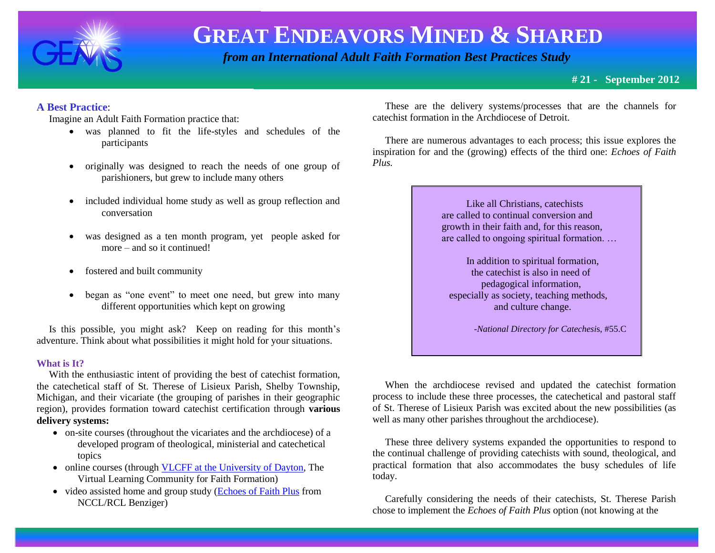

 *from an International Adult Faith Formation Best Practices Study*

**# 21 - September 2012**

# **A Best Practice**:

Imagine an Adult Faith Formation practice that:

- was planned to fit the life-styles and schedules of the participants
- originally was designed to reach the needs of one group of parishioners, but grew to include many others
- included individual home study as well as group reflection and conversation
- was designed as a ten month program, yet people asked for more – and so it continued!
- fostered and built community
- began as "one event" to meet one need, but grew into many different opportunities which kept on growing

 Is this possible, you might ask? Keep on reading for this month's adventure. Think about what possibilities it might hold for your situations.

#### **What is It?**

 With the enthusiastic intent of providing the best of catechist formation, the catechetical staff of St. Therese of Lisieux Parish, Shelby Township, Michigan, and their vicariate (the grouping of parishes in their geographic region), provides formation toward catechist certification through **various delivery systems:**

- on-site courses (throughout the vicariates and the archdiocese) of a developed program of theological, ministerial and catechetical topics
- online courses (throug[h VLCFF at the University of Dayton,](https://vlc.udayton.edu/) The Virtual Learning Community for Faith Formation)
- video assisted home and group study [\(Echoes of Faith Plus](http://www.echoesoffaith.com/) from NCCL/RCL Benziger)

 These are the delivery systems/processes that are the channels for catechist formation in the Archdiocese of Detroit.

 There are numerous advantages to each process; this issue explores the inspiration for and the (growing) effects of the third one: *Echoes of Faith Plus.*

> Like all Christians, catechists are called to continual conversion and growth in their faith and, for this reason, are called to ongoing spiritual formation. …

 In addition to spiritual formation, the catechist is also in need of pedagogical information, especially as society, teaching methods, and culture change.

-*National Directory for Catechesi*s, #55.C

When the archdiocese revised and updated the catechist formation process to include these three processes, the catechetical and pastoral staff of St. Therese of Lisieux Parish was excited about the new possibilities (as well as many other parishes throughout the archdiocese).

 These three delivery systems expanded the opportunities to respond to the continual challenge of providing catechists with sound, theological, and practical formation that also accommodates the busy schedules of life today.

 Carefully considering the needs of their catechists, St. Therese Parish chose to implement the *Echoes of Faith Plus* option (not knowing at the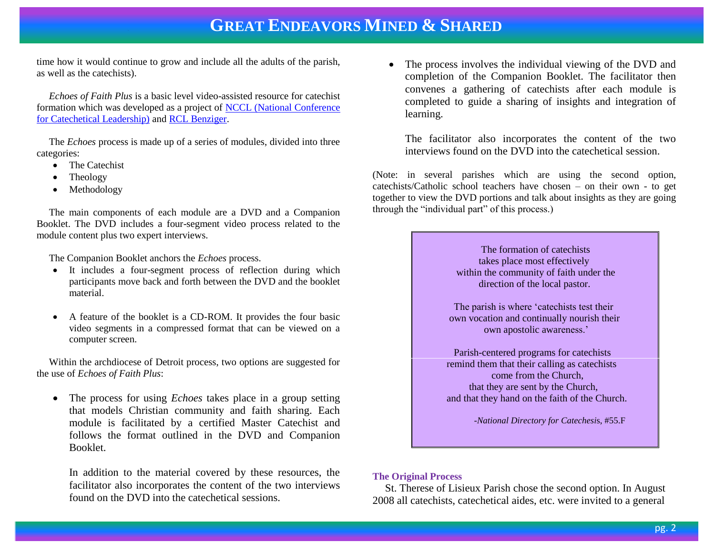time how it would continue to grow and include all the adults of the parish, as well as the catechists).

 *Echoes of Faith Plus* is a basic level video-assisted resource for catechist formation which was developed as a project of [NCCL \(National Conference](http://www.nccl.org/)  [for Catechetical Leadership\)](http://www.nccl.org/) and [RCL Benziger.](http://www.echoesoffaith.com/)

 The *Echoes* process is made up of a series of modules, divided into three categories:

- The Catechist
- Theology
- Methodology

 The main components of each module are a DVD and a Companion Booklet. The DVD includes a four-segment video process related to the module content plus two expert interviews.

The Companion Booklet anchors the *Echoes* process.

- It includes a four-segment process of reflection during which participants move back and forth between the DVD and the booklet material.
- A feature of the booklet is a CD-ROM. It provides the four basic video segments in a compressed format that can be viewed on a computer screen.

 Within the archdiocese of Detroit process, two options are suggested for the use of *Echoes of Faith Plus*:

• The process for using *Echoes* takes place in a group setting that models Christian community and faith sharing. Each module is facilitated by a certified Master Catechist and follows the format outlined in the DVD and Companion Booklet.

In addition to the material covered by these resources, the facilitator also incorporates the content of the two interviews found on the DVD into the catechetical sessions.

• The process involves the individual viewing of the DVD and completion of the Companion Booklet. The facilitator then convenes a gathering of catechists after each module is completed to guide a sharing of insights and integration of learning.

The facilitator also incorporates the content of the two interviews found on the DVD into the catechetical session.

(Note: in several parishes which are using the second option, catechists/Catholic school teachers have chosen – on their own - to get together to view the DVD portions and talk about insights as they are going through the "individual part" of this process.)

> The formation of catechists takes place most effectively within the community of faith under the direction of the local pastor.

The parish is where 'catechists test their own vocation and continually nourish their own apostolic awareness.'

Parish-centered programs for catechists remind them that their calling as catechists come from the Church, that they are sent by the Church, and that they hand on the faith of the Church.

-*National Directory for Catechesi*s, #55.F

#### **The Original Process**

St. Therese of Lisieux Parish chose the second option. In August 2008 all catechists, catechetical aides, etc. were invited to a general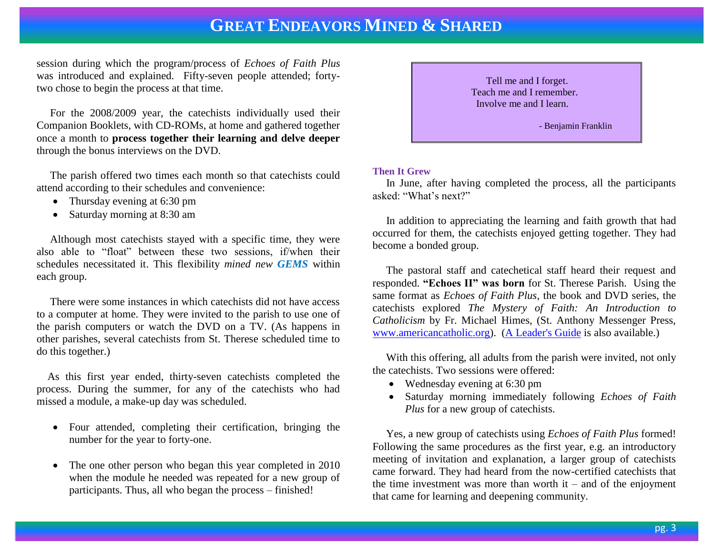session during which the program/process of *Echoes of Faith Plus* was introduced and explained. Fifty-seven people attended; fortytwo chose to begin the process at that time.

 For the 2008/2009 year, the catechists individually used their Companion Booklets, with CD-ROMs, at home and gathered together once a month to **process together their learning and delve deeper** through the bonus interviews on the DVD.

 The parish offered two times each month so that catechists could attend according to their schedules and convenience:

- Thursday evening at 6:30 pm
- Saturday morning at 8:30 am

 Although most catechists stayed with a specific time, they were also able to "float" between these two sessions, if/when their schedules necessitated it. This flexibility *mined new GEMS* within each group.

 There were some instances in which catechists did not have access to a computer at home. They were invited to the parish to use one of the parish computers or watch the DVD on a TV. (As happens in other parishes, several catechists from St. Therese scheduled time to do this together.)

 As this first year ended, thirty-seven catechists completed the process. During the summer, for any of the catechists who had missed a module, a make-up day was scheduled.

- Four attended, completing their certification, bringing the number for the year to forty-one.
- The one other person who began this year completed in 2010 when the module he needed was repeated for a new group of participants. Thus, all who began the process – finished!



## **Then It Grew**

 In June, after having completed the process, all the participants asked: "What's next?"

 In addition to appreciating the learning and faith growth that had occurred for them, the catechists enjoyed getting together. They had become a bonded group.

 The pastoral staff and catechetical staff heard their request and responded. **"Echoes II" was born** for St. Therese Parish. Using the same format as *Echoes of Faith Plus*, the book and DVD series, the catechists explored *The Mystery of Faith: An Introduction to Catholicism* by Fr. Michael Himes, (St. Anthony Messenger Press, [www.americancatholic.org\)](http://www.americancatholic.org/). [\(A Leader's Guide](http://catalog.franciscanmedia.org/Guide/pdf/D1102_guide_The_Mystery_of_Faith.pdf) is also available.)

 With this offering, all adults from the parish were invited, not only the catechists. Two sessions were offered:

- Wednesday evening at 6:30 pm
- Saturday morning immediately following *Echoes of Faith Plus* for a new group of catechists.

 Yes, a new group of catechists using *Echoes of Faith Plus* formed! Following the same procedures as the first year, e.g. an introductory meeting of invitation and explanation, a larger group of catechists came forward. They had heard from the now-certified catechists that the time investment was more than worth it – and of the enjoyment that came for learning and deepening community.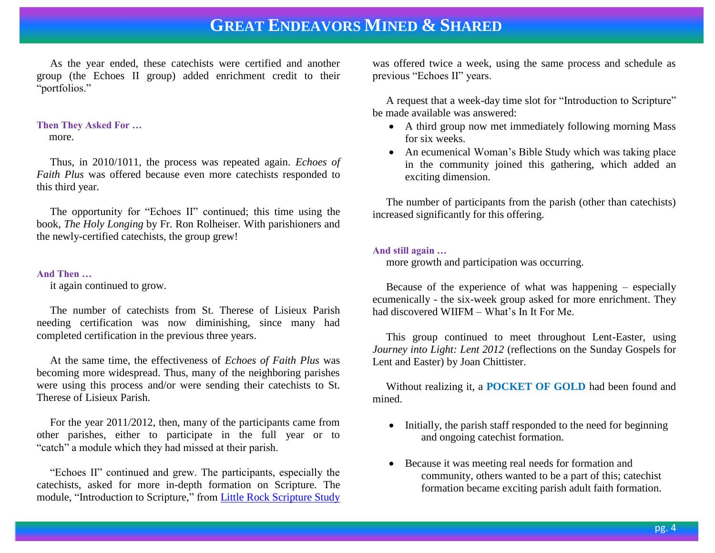As the year ended, these catechists were certified and another group (the Echoes II group) added enrichment credit to their "portfolios."

### **Then They Asked For …**

more.

 Thus, in 2010/1011, the process was repeated again. *Echoes of Faith Plus* was offered because even more catechists responded to this third year.

 The opportunity for "Echoes II" continued; this time using the book, *The Holy Longing* by Fr. Ron Rolheiser. With parishioners and the newly-certified catechists, the group grew!

# **And Then …**

it again continued to grow.

 The number of catechists from St. Therese of Lisieux Parish needing certification was now diminishing, since many had completed certification in the previous three years.

 At the same time, the effectiveness of *Echoes of Faith Plus* was becoming more widespread. Thus, many of the neighboring parishes were using this process and/or were sending their catechists to St. Therese of Lisieux Parish.

 For the year 2011/2012, then, many of the participants came from other parishes, either to participate in the full year or to "catch" a module which they had missed at their parish.

 "Echoes II" continued and grew. The participants, especially the catechists, asked for more in-depth formation on Scripture. The module, "Introduction to Scripture," from [Little Rock Scripture Study](http://littlerockscripture.org/en/Default.aspx) was offered twice a week, using the same process and schedule as previous "Echoes II" years.

 A request that a week-day time slot for "Introduction to Scripture" be made available was answered:

- A third group now met immediately following morning Mass for six weeks.
- An ecumenical Woman's Bible Study which was taking place in the community joined this gathering, which added an exciting dimension.

 The number of participants from the parish (other than catechists) increased significantly for this offering.

## **And still again …**

more growth and participation was occurring.

 Because of the experience of what was happening – especially ecumenically - the six-week group asked for more enrichment. They had discovered WIIFM – What's In It For Me.

 This group continued to meet throughout Lent-Easter, using *Journey into Light: Lent 2012* (reflections on the Sunday Gospels for Lent and Easter) by Joan Chittister.

 Without realizing it, a **POCKET OF GOLD** had been found and mined.

- Initially, the parish staff responded to the need for beginning and ongoing catechist formation.
- Because it was meeting real needs for formation and community, others wanted to be a part of this; catechist formation became exciting parish adult faith formation.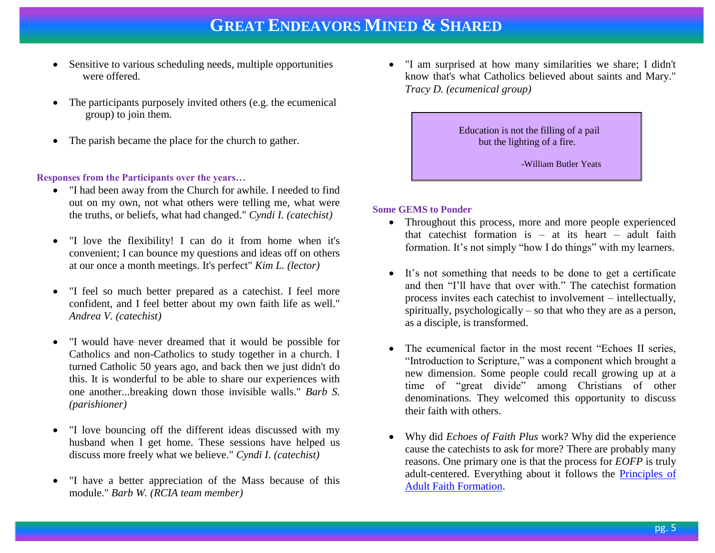- Sensitive to various scheduling needs, multiple opportunities were offered.
- The participants purposely invited others (e.g. the ecumenical group) to join them.
- The parish became the place for the church to gather.

### **Responses from the Participants over the years…**

- "I had been away from the Church for awhile. I needed to find out on my own, not what others were telling me, what were the truths, or beliefs, what had changed." *Cyndi I. (catechist)*
- "I love the flexibility! I can do it from home when it's convenient; I can bounce my questions and ideas off on others at our once a month meetings. It's perfect" *Kim L. (lector)*
- "I feel so much better prepared as a catechist. I feel more confident, and I feel better about my own faith life as well." *Andrea V. (catechist)*
- "I would have never dreamed that it would be possible for Catholics and non-Catholics to study together in a church. I turned Catholic 50 years ago, and back then we just didn't do this. It is wonderful to be able to share our experiences with one another...breaking down those invisible walls." *Barb S. (parishioner)*
- "I love bouncing off the different ideas discussed with my husband when I get home. These sessions have helped us discuss more freely what we believe." *Cyndi I. (catechist)*
- "I have a better appreciation of the Mass because of this module." *Barb W. (RCIA team member)*

 "I am surprised at how many similarities we share; I didn't know that's what Catholics believed about saints and Mary." *Tracy D. (ecumenical group)*

> Education is not the filling of a pail but the lighting of a fire.

> > -William Butler Yeats

### **Some GEMS to Ponder**

- Throughout this process, more and more people experienced that cate chist formation is  $-$  at its heart  $-$  adult faith formation. It's not simply "how I do things" with my learners.
- It's not something that needs to be done to get a certificate and then "I'll have that over with." The catechist formation process invites each catechist to involvement – intellectually, spiritually, psychologically – so that who they are as a person, as a disciple, is transformed.
- The ecumenical factor in the most recent "Echoes II series, "Introduction to Scripture," was a component which brought a new dimension. Some people could recall growing up at a time of "great divide" among Christians of other denominations. They welcomed this opportunity to discuss their faith with others.
- Why did *Echoes of Faith Plus* work? Why did the experience cause the catechists to ask for more? There are probably many reasons. One primary one is that the process for *EOFP* is truly adult-centered. Everything about it follows the [Principles of](http://www.janetschaeffler.com/AFF-Helps.html)  [Adult Faith Formation.](http://www.janetschaeffler.com/AFF-Helps.html)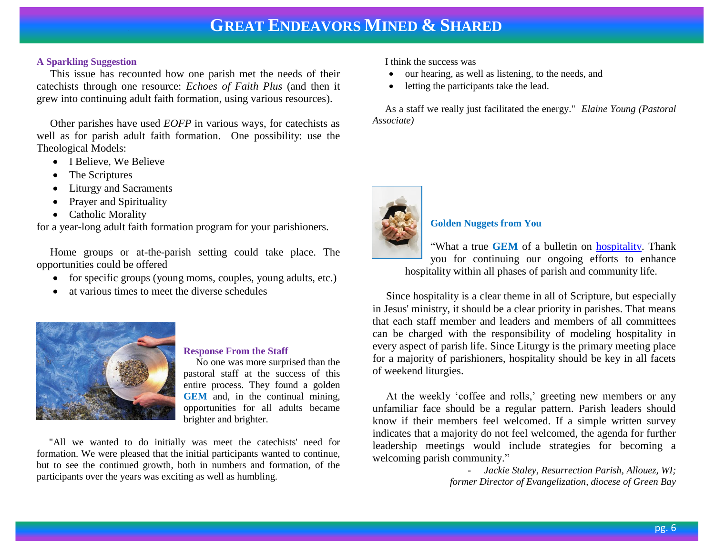### **A Sparkling Suggestion**

 This issue has recounted how one parish met the needs of their catechists through one resource: *Echoes of Faith Plus* (and then it grew into continuing adult faith formation, using various resources).

 Other parishes have used *EOFP* in various ways, for catechists as well as for parish adult faith formation. One possibility: use the Theological Models:

- I Believe, We Believe
- The Scriptures
- Liturgy and Sacraments
- Prayer and Spirituality
- Catholic Morality

for a year-long adult faith formation program for your parishioners.

 Home groups or at-the-parish setting could take place. The opportunities could be offered

- for specific groups (young moms, couples, young adults, etc.)
- at various times to meet the diverse schedules



#### **Response From the Staff**

 No one was more surprised than the pastoral staff at the success of this entire process. They found a golden **GEM** and, in the continual mining, opportunities for all adults became brighter and brighter.

 "All we wanted to do initially was meet the catechists' need for formation. We were pleased that the initial participants wanted to continue, but to see the continued growth, both in numbers and formation, of the participants over the years was exciting as well as humbling.

I think the success was

- our hearing, as well as listening, to the needs, and
- letting the participants take the lead.

 As a staff we really just facilitated the energy." *Elaine Young (Pastoral Associate)*



### **Golden Nuggets from You**

"What a true **GEM** of a bulletin on [hospitality.](http://www.janetschaeffler.com/Best-Practices.html) Thank you for continuing our ongoing efforts to enhance hospitality within all phases of parish and community life.

 Since hospitality is a clear theme in all of Scripture, but especially in Jesus' ministry, it should be a clear priority in parishes. That means that each staff member and leaders and members of all committees can be charged with the responsibility of modeling hospitality in every aspect of parish life. Since Liturgy is the primary meeting place for a majority of parishioners, hospitality should be key in all facets of weekend liturgies.

 At the weekly 'coffee and rolls,' greeting new members or any unfamiliar face should be a regular pattern. Parish leaders should know if their members feel welcomed. If a simple written survey indicates that a majority do not feel welcomed, the agenda for further leadership meetings would include strategies for becoming a welcoming parish community."

- *Jackie Staley, Resurrection Parish, Allouez, WI; former Director of Evangelization, diocese of Green Bay*